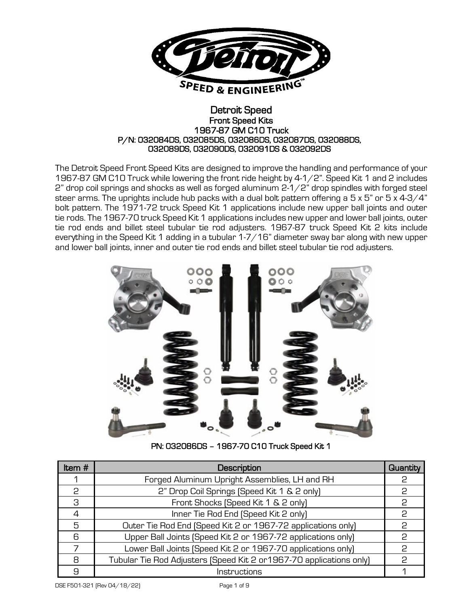

### Detroit Speed Front Speed Kits 1967-87 GM C10 Truck P/N: 032084DS, 032085DS, 032086DS, 032087DS, 032088DS, 032089DS, 032090DS, 032091DS & 032092DS

The Detroit Speed Front Speed Kits are designed to improve the handling and performance of your 1967-87 GM C10 Truck while lowering the front ride height by 4-1/2". Speed Kit 1 and 2 includes 2" drop coil springs and shocks as well as forged aluminum 2-1/2" drop spindles with forged steel steer arms. The uprights include hub packs with a dual bolt pattern offering a  $5 \times 5$ " or  $5 \times 4$ -3/4" bolt pattern. The 1971-72 truck Speed Kit 1 applications include new upper ball joints and outer tie rods. The 1967-70 truck Speed Kit 1 applications includes new upper and lower ball joints, outer tie rod ends and billet steel tubular tie rod adjusters. 1967-87 truck Speed Kit 2 kits include everything in the Speed Kit 1 adding in a tubular 1-7/16" diameter sway bar along with new upper and lower ball joints, inner and outer tie rod ends and billet steel tubular tie rod adjusters.



PN: 032086DS – 1967-70 C10 Truck Speed Kit 1

| Item $#$ | Description                                                          |    |  |
|----------|----------------------------------------------------------------------|----|--|
|          | Forged Aluminum Upright Assemblies, LH and RH                        | 2  |  |
| 2        | 2" Drop Coil Springs (Speed Kit 1 & 2 only)                          | 2  |  |
| 3        | Front Shocks (Speed Kit 1 & 2 only)                                  | P  |  |
| 4        | Inner Tie Rod End (Speed Kit 2 only)                                 | 2  |  |
| 5        | Outer Tie Rod End (Speed Kit 2 or 1967-72 applications only)         | 2  |  |
| 6        | Upper Ball Joints (Speed Kit 2 or 1967-72 applications only)         | P  |  |
|          | Lower Ball Joints (Speed Kit 2 or 1967-70 applications only)         | C  |  |
| 8        | Tubular Tie Rod Adjusters (Speed Kit 2 or 1967-70 applications only) | င္ |  |
| 9        | Instructions                                                         |    |  |

DSE F501-321 (Rev 04/18/22) Page 1 of 9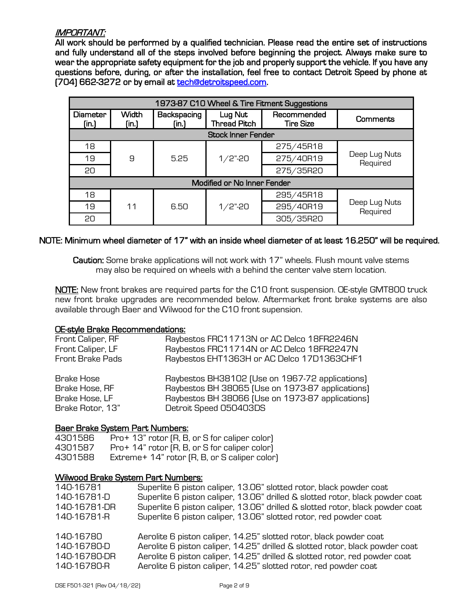## IMPORTANT:

All work should be performed by a qualified technician. Please read the entire set of instructions and fully understand all of the steps involved before beginning the project. Always make sure to wear the appropriate safety equipment for the job and properly support the vehicle. If you have any questions before, during, or after the installation, feel free to contact Detroit Speed by phone at (704) 662-3272 or by email at [tech@detroitspeed.com.](mailto:tech@detroitspeed.com)

| 1973-87 C10 Wheel & Tire Fitment Suggestions |                       |                      |                                |                                 |                           |  |
|----------------------------------------------|-----------------------|----------------------|--------------------------------|---------------------------------|---------------------------|--|
| Diameter<br>(in.)                            | <b>Width</b><br>(in.) | Backspacing<br>[in.] | Lug Nut<br><b>Thread Pitch</b> | Recommended<br><b>Tire Size</b> | Comments                  |  |
| <b>Stock Inner Fender</b>                    |                       |                      |                                |                                 |                           |  |
| 18                                           |                       |                      |                                | 275/45R18                       |                           |  |
| 19                                           | 9                     | $1/2$ "-20<br>5.25   |                                | 275/40R19                       | Deep Lug Nuts<br>Required |  |
| 20                                           |                       |                      |                                | 275/35R20                       |                           |  |
| Modified or No Inner Fender                  |                       |                      |                                |                                 |                           |  |
| 18                                           |                       |                      | $1/2$ "-20                     | 295/45R18                       | Deep Lug Nuts<br>Required |  |
| 19                                           | 11<br>6.50            |                      |                                | 295/40R19                       |                           |  |
| 20                                           |                       |                      |                                | 305/35R20                       |                           |  |

### NOTE: Minimum wheel diameter of 17" with an inside wheel diameter of at least 16.250" will be required.

Caution: Some brake applications will not work with 17" wheels. Flush mount valve stems may also be required on wheels with a behind the center valve stem location.

NOTE: New front brakes are required parts for the C10 front suspension. OE-style GMT800 truck new front brake upgrades are recommended below. Aftermarket front brake systems are also available through Baer and Wilwood for the C10 front supension.

### OE-style Brake Recommendations:

| Front Caliper, RF                              | Raybestos FRC11713N or AC Delco 18FR2246N                                                                                                               |
|------------------------------------------------|---------------------------------------------------------------------------------------------------------------------------------------------------------|
| Front Caliper, LF                              | Raybestos FRC11714N or AC Delco 18FR2247N                                                                                                               |
| Front Brake Pads                               | Raybestos EHT1363H or AC Delco 17D1363CHF1                                                                                                              |
| Brake Hose<br>Brake Hose, RF<br>Brake Hose, LF | Raybestos BH38102 (Use on 1967-72 applications)<br>Raybestos BH 38065 (Use on 1973-87 applications)<br>Raybestos BH 38066 (Use on 1973-87 applications) |
| Brake Rotor, 13"                               | Detroit Speed 050403DS                                                                                                                                  |

#### Baer Brake System Part Numbers:

| 4301586 | Pro+ 13" rotor (R, B, or S for caliper color) |
|---------|-----------------------------------------------|
| 4301587 | Pro+ 14" rotor (R, B, or S for caliper color) |
| 4301588 | Extreme+ 14" rotor (R, B, or S caliper color) |

#### Wilwood Brake System Part Numbers:

| 140-16781                                               | Superlite 6 piston caliper, 13.06" slotted rotor, black powder coat                                                                                                                                                                                                                                  |
|---------------------------------------------------------|------------------------------------------------------------------------------------------------------------------------------------------------------------------------------------------------------------------------------------------------------------------------------------------------------|
| 140-16781-D                                             | Superlite 6 piston caliper, 13.06" drilled & slotted rotor, black powder coat                                                                                                                                                                                                                        |
| 140-16781-DR                                            | Superlite 6 piston caliper, 13.06" drilled & slotted rotor, black powder coat                                                                                                                                                                                                                        |
| 140-16781-R                                             | Superlite 6 piston caliper, 13.06" slotted rotor, red powder coat                                                                                                                                                                                                                                    |
| 140-16780<br>140-16780-D<br>140-16780-DR<br>140-16780-R | Aerolite 6 piston caliper, 14.25" slotted rotor, black powder coat<br>Aerolite 6 piston caliper, 14.25" drilled & slotted rotor, black powder coat<br>Aerolite 6 piston caliper, 14.25" drilled & slotted rotor, red powder coat<br>Aerolite 6 piston caliper, 14.25" slotted rotor, red powder coat |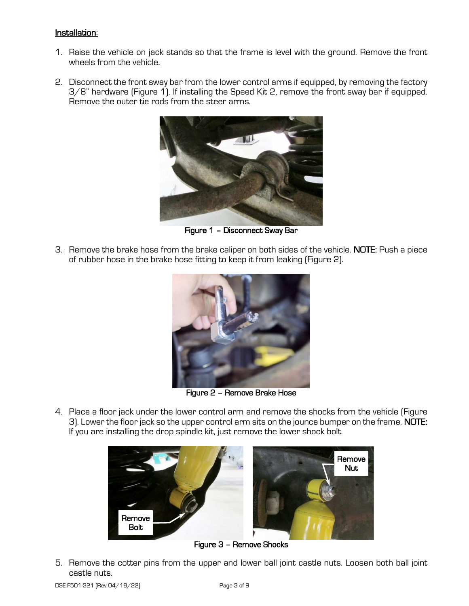### Installation:

- 1. Raise the vehicle on jack stands so that the frame is level with the ground. Remove the front wheels from the vehicle.
- 2. Disconnect the front sway bar from the lower control arms if equipped, by removing the factory 3/8" hardware (Figure 1). If installing the Speed Kit 2, remove the front sway bar if equipped. Remove the outer tie rods from the steer arms.



Figure 1 – Disconnect Sway Bar

3. Remove the brake hose from the brake caliper on both sides of the vehicle. NOTE: Push a piece of rubber hose in the brake hose fitting to keep it from leaking (Figure 2).



Figure 2 – Remove Brake Hose

4. Place a floor jack under the lower control arm and remove the shocks from the vehicle (Figure 3). Lower the floor jack so the upper control arm sits on the jounce bumper on the frame. NOTE: If you are installing the drop spindle kit, just remove the lower shock bolt.



Figure 3 – Remove Shocks

5. Remove the cotter pins from the upper and lower ball joint castle nuts. Loosen both ball joint castle nuts.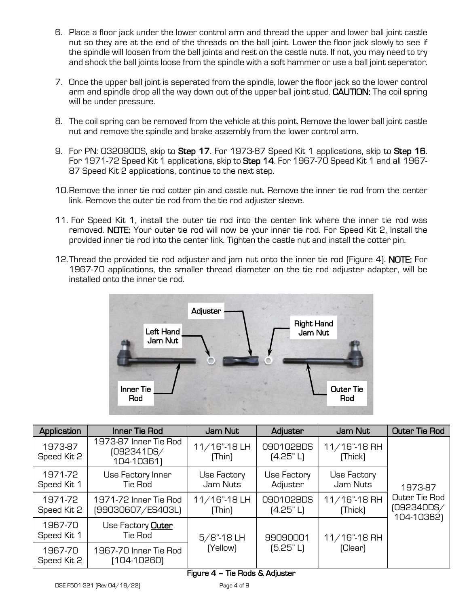- 6. Place a floor jack under the lower control arm and thread the upper and lower ball joint castle nut so they are at the end of the threads on the ball joint. Lower the floor jack slowly to see if the spindle will loosen from the ball joints and rest on the castle nuts. If not, you may need to try and shock the ball joints loose from the spindle with a soft hammer or use a ball joint seperator.
- 7. Once the upper ball joint is seperated from the spindle, lower the floor jack so the lower control arm and spindle drop all the way down out of the upper ball joint stud. **CAUTION:** The coil spring will be under pressure.
- 8. The coil spring can be removed from the vehicle at this point. Remove the lower ball joint castle nut and remove the spindle and brake assembly from the lower control arm.
- 9. For PN: 032090DS, skip to Step 17. For 1973-87 Speed Kit 1 applications, skip to Step 16. For 1971-72 Speed Kit 1 applications, skip to Step 14. For 1967-70 Speed Kit 1 and all 1967- 87 Speed Kit 2 applications, continue to the next step.
- 10.Remove the inner tie rod cotter pin and castle nut. Remove the inner tie rod from the center link. Remove the outer tie rod from the tie rod adjuster sleeve.
- 11. For Speed Kit 1, install the outer tie rod into the center link where the inner tie rod was removed. NOTE: Your outer tie rod will now be your inner tie rod. For Speed Kit 2, Install the provided inner tie rod into the center link. Tighten the castle nut and install the cotter pin.
- 12. Thread the provided tie rod adjuster and jam nut onto the inner tie rod (Figure 4). **NOTE:** For 1967-70 applications, the smaller thread diameter on the tie rod adjuster adapter, will be installed onto the inner tie rod.



| Application            | Inner Tie Rod                                     | Jam Nut                    | Adjuster                | Jam Nut                    | <b>Outer Tie Rod</b>                      |
|------------------------|---------------------------------------------------|----------------------------|-------------------------|----------------------------|-------------------------------------------|
| 1973-87<br>Speed Kit 2 | 1973-87 Inner Tie Rod<br>(092341DS/<br>104-10361) | $11/16$ "-18 LH<br>[Think] | 090102BDS<br>[4.25" L]  | $11/16$ "-18 RH<br>[Thick] |                                           |
| 1971-72<br>Speed Kit 1 | Use Factory Inner<br>Tie Rod                      | Use Factory<br>Jam Nuts    | Use Factory<br>Adjuster | Use Factory<br>Jam Nuts    | 1973-87                                   |
| 1971-72<br>Speed Kit 2 | 1971-72 Inner Tie Rod<br>(99030607/ES403L)        | $11/16"$ -18LH<br>[Thin]   | 090102BDS<br>(4.25" L)  | $11/16$ "-18 RH<br>[Thick] | Outer Tie Rod<br>(092340DS/<br>104-10362) |
| 1967-70<br>Speed Kit 1 | Use Factory <b>Outer</b><br>Tie Rod               | $5/8$ "-18 LH              | 99090001<br>[5.25" L]   | $11/16$ "-18 RH<br>(Clear) |                                           |
| 1967-70<br>Speed Kit 2 | 1967-70 Inner Tie Rod<br>$[104-10260]$            | (Yellow)                   |                         |                            |                                           |

# Figure 4 – Tie Rods & Adjuster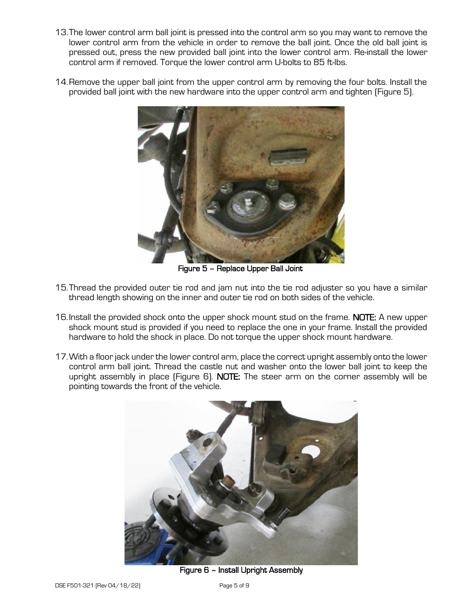- 13.The lower control arm ball joint is pressed into the control arm so you may want to remove the lower control arm from the vehicle in order to remove the ball joint. Once the old ball joint is pressed out, press the new provided ball joint into the lower control arm. Re-install the lower control arm if removed. Torque the lower control arm U-bolts to 85 ft-lbs.
- 14.Remove the upper ball joint from the upper control arm by removing the four bolts. Install the provided ball joint with the new hardware into the upper control arm and tighten (Figure 5).



Figure 5 – Replace Upper Ball Joint

- 15.Thread the provided outer tie rod and jam nut into the tie rod adjuster so you have a similar thread length showing on the inner and outer tie rod on both sides of the vehicle.
- 16.Install the provided shock onto the upper shock mount stud on the frame. NOTE: A new upper shock mount stud is provided if you need to replace the one in your frame. Install the provided hardware to hold the shock in place. Do not torque the upper shock mount hardware.
- 17.With a floor jack under the lower control arm, place the correct upright assembly onto the lower control arm ball joint. Thread the castle nut and washer onto the lower ball joint to keep the upright assembly in place (Figure 6). NOTE: The steer arm on the corner assembly will be pointing towards the front of the vehicle.



Figure 6 – Install Upright Assembly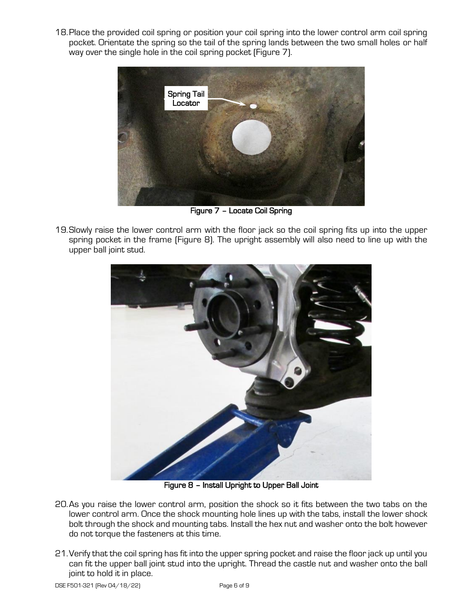18.Place the provided coil spring or position your coil spring into the lower control arm coil spring pocket. Orientate the spring so the tail of the spring lands between the two small holes or half way over the single hole in the coil spring pocket (Figure 7).



Figure 7 – Locate Coil Spring

19.Slowly raise the lower control arm with the floor jack so the coil spring fits up into the upper spring pocket in the frame (Figure 8). The upright assembly will also need to line up with the upper ball joint stud.



Figure 8 – Install Upright to Upper Ball Joint

- 20.As you raise the lower control arm, position the shock so it fits between the two tabs on the lower control arm. Once the shock mounting hole lines up with the tabs, install the lower shock bolt through the shock and mounting tabs. Install the hex nut and washer onto the bolt however do not torque the fasteners at this time.
- 21.Verify that the coil spring has fit into the upper spring pocket and raise the floor jack up until you can fit the upper ball joint stud into the upright. Thread the castle nut and washer onto the ball joint to hold it in place.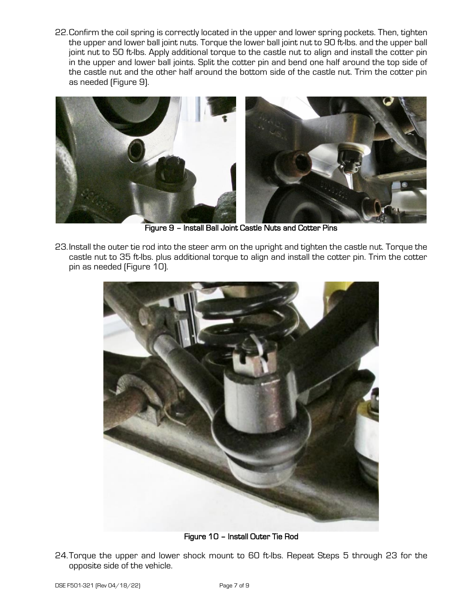22.Confirm the coil spring is correctly located in the upper and lower spring pockets. Then, tighten the upper and lower ball joint nuts. Torque the lower ball joint nut to 90 ft-lbs. and the upper ball joint nut to 50 ft-lbs. Apply additional torque to the castle nut to align and install the cotter pin in the upper and lower ball joints. Split the cotter pin and bend one half around the top side of the castle nut and the other half around the bottom side of the castle nut. Trim the cotter pin as needed (Figure 9).



Figure 9 – Install Ball Joint Castle Nuts and Cotter Pins

23.Install the outer tie rod into the steer arm on the upright and tighten the castle nut. Torque the castle nut to 35 ft-lbs. plus additional torque to align and install the cotter pin. Trim the cotter pin as needed (Figure 10).



Figure 10 – Install Outer Tie Rod

24.Torque the upper and lower shock mount to 60 ft-lbs. Repeat Steps 5 through 23 for the opposite side of the vehicle.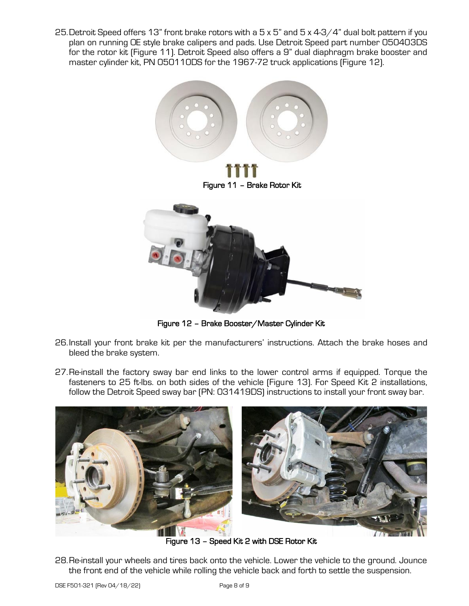25.Detroit Speed offers 13" front brake rotors with a 5 x 5" and 5 x 4-3/4" dual bolt pattern if you plan on running OE style brake calipers and pads. Use Detroit Speed part number 050403DS for the rotor kit (Figure 11). Detroit Speed also offers a 9" dual diaphragm brake booster and master cylinder kit, PN 050110DS for the 1967-72 truck applications (Figure 12).



Figure 12 – Brake Booster/Master Cylinder Kit

- 26.Install your front brake kit per the manufacturers' instructions. Attach the brake hoses and bleed the brake system.
- 27.Re-install the factory sway bar end links to the lower control arms if equipped. Torque the fasteners to 25 ft-lbs. on both sides of the vehicle (Figure 13). For Speed Kit 2 installations, follow the Detroit Speed sway bar (PN: 031419DS) instructions to install your front sway bar.



Figure 13 – Speed Kit 2 with DSE Rotor Kit

28.Re-install your wheels and tires back onto the vehicle. Lower the vehicle to the ground. Jounce the front end of the vehicle while rolling the vehicle back and forth to settle the suspension.